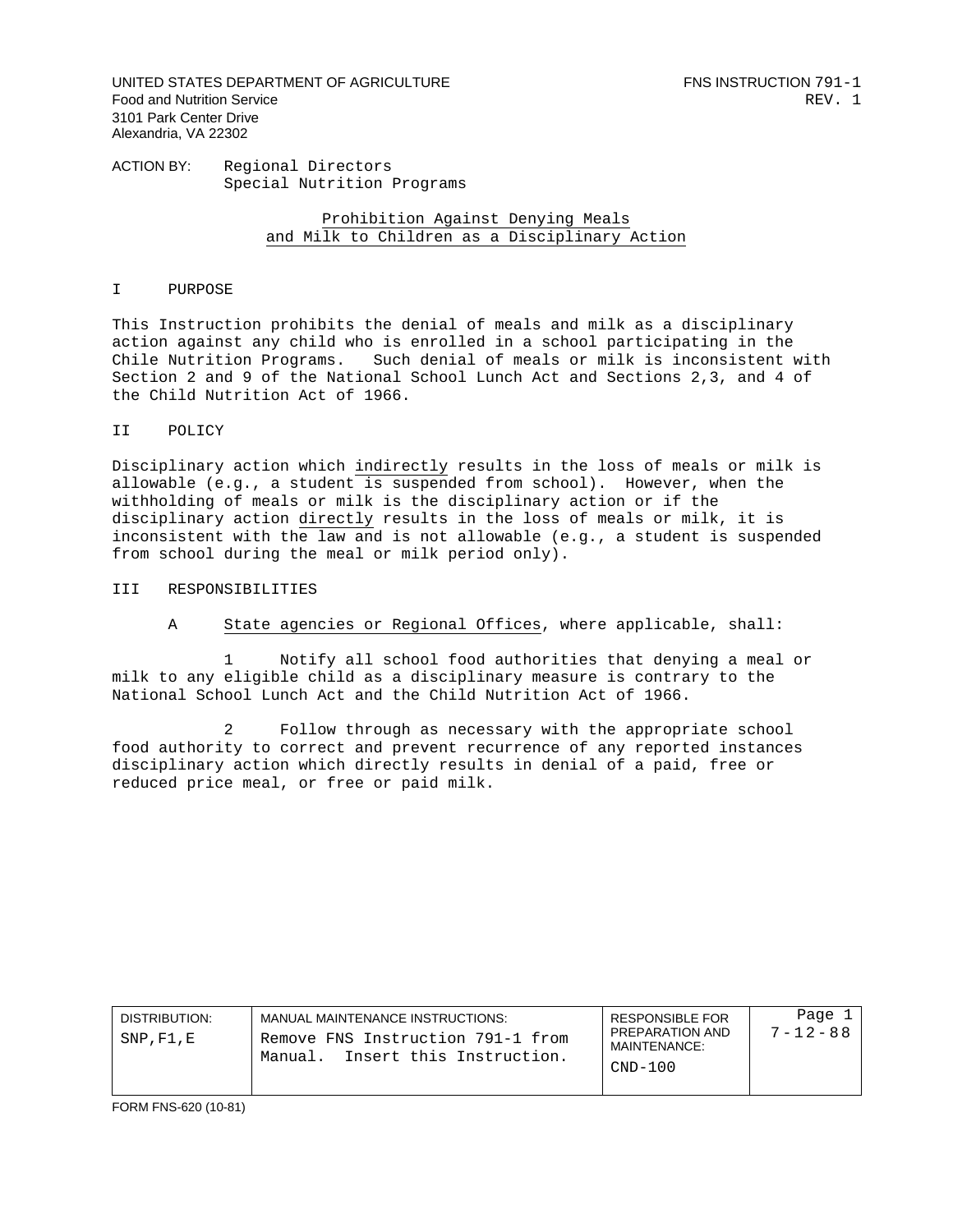UNITED STATES DEPARTMENT OF AGRICULTURE FOR THE RESERVE THIS INSTRUCTION 791-1 Food and Nutrition Service **REV.** 1 3101 Park Center Drive Alexandria, VA 22302

ACTION BY: Regional Directors Special Nutrition Programs

> Prohibition Against Denying Meals and Milk to Children as a Disciplinary Action

## I PURPOSE

This Instruction prohibits the denial of meals and milk as a disciplinary action against any child who is enrolled in a school participating in the Chile Nutrition Programs. Such denial of meals or milk is inconsistent with Section 2 and 9 of the National School Lunch Act and Sections 2,3, and 4 of the Child Nutrition Act of 1966.

## II POLICY

Disciplinary action which indirectly results in the loss of meals or milk is allowable (e.g., a student is suspended from school). However, when the withholding of meals or milk is the disciplinary action or if the disciplinary action directly results in the loss of meals or milk, it is inconsistent with the law and is not allowable (e.g., a student is suspended from school during the meal or milk period only).

## III RESPONSIBILITIES

A State agencies or Regional Offices, where applicable, shall:

1 Notify all school food authorities that denying a meal or milk to any eligible child as a disciplinary measure is contrary to the National School Lunch Act and the Child Nutrition Act of 1966.

2 Follow through as necessary with the appropriate school food authority to correct and prevent recurrence of any reported instances disciplinary action which directly results in denial of a paid, free or reduced price meal, or free or paid milk.

| DISTRIBUTION:<br>SNP,F1,E | MANUAL MAINTENANCE INSTRUCTIONS:<br>Remove FNS Instruction 791-1 from<br>Insert this Instruction.<br>Manual. | <b>RESPONSIBLE FOR</b><br>PREPARATION AND<br>MAINTENANCE:<br>$CND-100$ | Page 1<br>$7 - 12 - 88$ |
|---------------------------|--------------------------------------------------------------------------------------------------------------|------------------------------------------------------------------------|-------------------------|
|---------------------------|--------------------------------------------------------------------------------------------------------------|------------------------------------------------------------------------|-------------------------|

FORM FNS-620 (10-81)